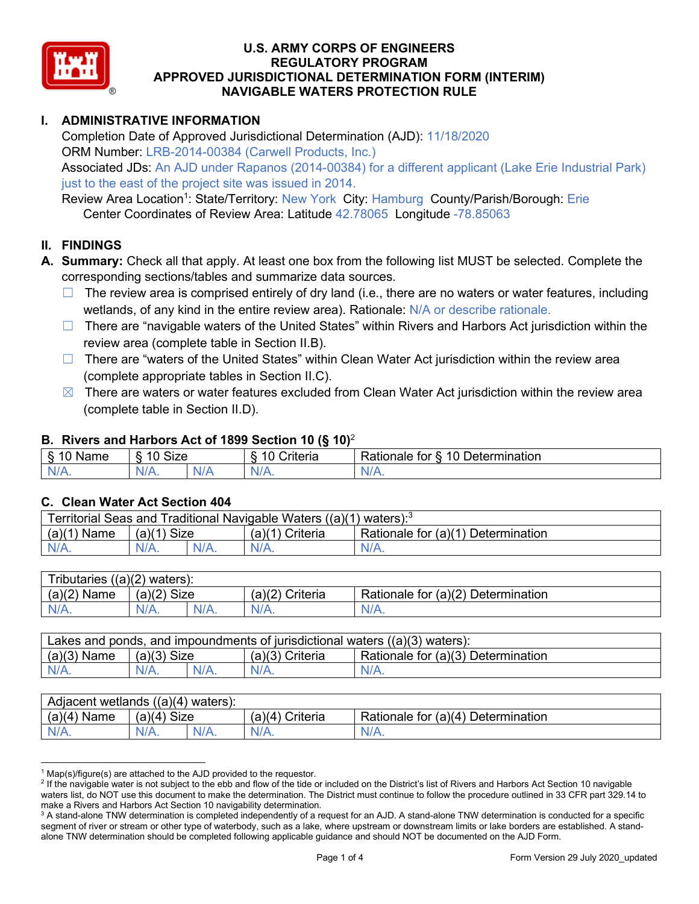

# **I. ADMINISTRATIVE INFORMATION**

Completion Date of Approved Jurisdictional Determination (AJD): 11/18/2020 ORM Number: LRB-2014-00384 (Carwell Products, Inc.) Associated JDs: An AJD under Rapanos (2014-00384) for a different applicant (Lake Erie Industrial Park) just to the east of the project site was issued in 2014.

Review Area Location<sup>1</sup>: State/Territory: New York City: Hamburg County/Parish/Borough: Erie Center Coordinates of Review Area: Latitude 42.78065 Longitude -78.85063

## **II. FINDINGS**

- **A. Summary:** Check all that apply. At least one box from the following list MUST be selected. Complete the corresponding sections/tables and summarize data sources.
	- $\Box$  The review area is comprised entirely of dry land (i.e., there are no waters or water features, including wetlands, of any kind in the entire review area). Rationale: N/A or describe rationale.
	- □ There are "navigable waters of the United States" within Rivers and Harbors Act jurisdiction within the review area (complete table in Section II.B).
	- $\Box$  There are "waters of the United States" within Clean Water Act jurisdiction within the review area (complete appropriate tables in Section II.C).
	- $\boxtimes$  There are waters or water features excluded from Clean Water Act jurisdiction within the review area (complete table in Section II.D).

### **B. Rivers and Harbors Act of 1899 Section 10 (§ 10)**<sup>2</sup>

| $\sim$<br>Name | $\sim$<br>$\overline{a}$<br>SIZE<br>$\overline{\phantom{a}}$ |  | $\sim$ $\sim$<br>Criteria | $\overline{\phantom{0}}$<br>10<br>Jetermination<br>tor<br>∢ationale |
|----------------|--------------------------------------------------------------|--|---------------------------|---------------------------------------------------------------------|
| N<br>.         | $N/A$ .                                                      |  | N/r<br>11 L               | 11 I V.                                                             |

## **C. Clean Water Act Section 404**

| Traditional Navigable Waters ((a)(1) waters): <sup>3</sup><br>Territorial Seas and |                       |         |                    |                                             |  |  |
|------------------------------------------------------------------------------------|-----------------------|---------|--------------------|---------------------------------------------|--|--|
| (a)(1)<br>Name                                                                     | <b>Size</b><br>(a)(1) |         | Criteria<br>(a)(1) | Rationale for $(a)(1)$ D<br>Ⅰ Determination |  |  |
| $N/A$ .                                                                            | $N/A$ .               | $N/A$ . |                    | $N/A$ .                                     |  |  |

| $((a)(2)$ waters):<br>Tributaries, |                |         |                    |                                    |  |  |
|------------------------------------|----------------|---------|--------------------|------------------------------------|--|--|
| (a)(2)<br>Name                     | (a)(2)<br>Size |         | (a)(2)<br>Criteria | Rationale for (a)(2) Determination |  |  |
| $N/A$ .                            | $N/A$ .        | $N/A$ . | $N/A$ .            | $N/A$ .                            |  |  |

| Lakes and ponds, and impoundments of jurisdictional waters $((a)(3)$ waters): |               |         |                   |                                    |  |  |
|-------------------------------------------------------------------------------|---------------|---------|-------------------|------------------------------------|--|--|
| $(a)(3)$ Name                                                                 | $(a)(3)$ Size |         | $(a)(3)$ Criteria | Rationale for (a)(3) Determination |  |  |
| $N/A$ .                                                                       | $N/A$ .       | $N/A$ . | $N/A$ .           | $N/A$ .                            |  |  |

| Adjacent wetlands $((a)(4)$ waters): |                       |         |                 |                                    |  |  |
|--------------------------------------|-----------------------|---------|-----------------|------------------------------------|--|--|
| $(a)(4)$ Name                        | (a)(4)<br><b>Size</b> |         | (a)(4) Criteria | Rationale for (a)(4) Determination |  |  |
| $N/A$ .                              |                       | $N/A$ . | $N/A$ .         | $N/A$ .                            |  |  |

 $1$  Map(s)/figure(s) are attached to the AJD provided to the requestor.

<sup>&</sup>lt;sup>2</sup> If the navigable water is not subject to the ebb and flow of the tide or included on the District's list of Rivers and Harbors Act Section 10 navigable waters list, do NOT use this document to make the determination. The District must continue to follow the procedure outlined in 33 CFR part 329.14 to make a Rivers and Harbors Act Section 10 navigability determination.

<sup>&</sup>lt;sup>3</sup> A stand-alone TNW determination is completed independently of a request for an AJD. A stand-alone TNW determination is conducted for a specific segment of river or stream or other type of waterbody, such as a lake, where upstream or downstream limits or lake borders are established. A standalone TNW determination should be completed following applicable guidance and should NOT be documented on the AJD Form.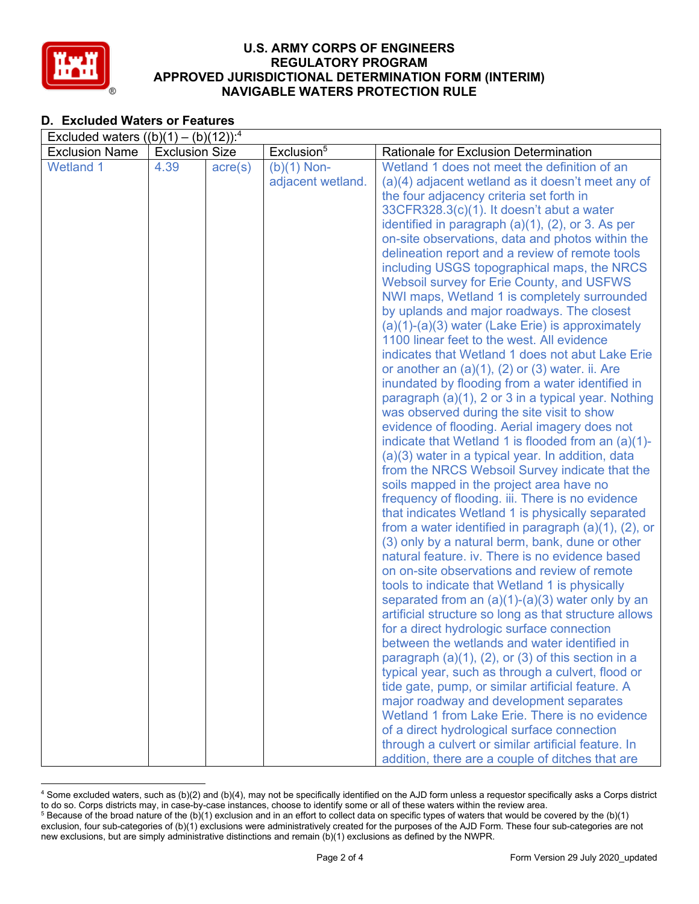

# **D. Excluded Waters or Features**

| Excluded waters $((b)(1) - (b)(12))$ : <sup>4</sup> |                       |                  |                        |                                                                                                        |  |  |
|-----------------------------------------------------|-----------------------|------------------|------------------------|--------------------------------------------------------------------------------------------------------|--|--|
| <b>Exclusion Name</b>                               | <b>Exclusion Size</b> |                  | Exclusion <sup>5</sup> | Rationale for Exclusion Determination                                                                  |  |  |
| <b>Wetland 1</b>                                    | 4.39                  | $\text{acre}(s)$ | $(b)(1)$ Non-          | Wetland 1 does not meet the definition of an                                                           |  |  |
|                                                     |                       |                  | adjacent wetland.      | (a)(4) adjacent wetland as it doesn't meet any of                                                      |  |  |
|                                                     |                       |                  |                        | the four adjacency criteria set forth in                                                               |  |  |
|                                                     |                       |                  |                        | 33CFR328.3(c)(1). It doesn't abut a water                                                              |  |  |
|                                                     |                       |                  |                        | identified in paragraph $(a)(1)$ , $(2)$ , or 3. As per                                                |  |  |
|                                                     |                       |                  |                        | on-site observations, data and photos within the                                                       |  |  |
|                                                     |                       |                  |                        | delineation report and a review of remote tools                                                        |  |  |
|                                                     |                       |                  |                        | including USGS topographical maps, the NRCS                                                            |  |  |
|                                                     |                       |                  |                        | <b>Websoil survey for Erie County, and USFWS</b>                                                       |  |  |
|                                                     |                       |                  |                        | NWI maps, Wetland 1 is completely surrounded                                                           |  |  |
|                                                     |                       |                  |                        | by uplands and major roadways. The closest                                                             |  |  |
|                                                     |                       |                  |                        | $(a)(1)-(a)(3)$ water (Lake Erie) is approximately                                                     |  |  |
|                                                     |                       |                  |                        | 1100 linear feet to the west. All evidence                                                             |  |  |
|                                                     |                       |                  |                        | indicates that Wetland 1 does not abut Lake Erie                                                       |  |  |
|                                                     |                       |                  |                        | or another an (a)(1), (2) or (3) water. ii. Are                                                        |  |  |
|                                                     |                       |                  |                        | inundated by flooding from a water identified in                                                       |  |  |
|                                                     |                       |                  |                        | paragraph (a)(1), 2 or 3 in a typical year. Nothing                                                    |  |  |
|                                                     |                       |                  |                        | was observed during the site visit to show                                                             |  |  |
|                                                     |                       |                  |                        | evidence of flooding. Aerial imagery does not                                                          |  |  |
|                                                     |                       |                  |                        | indicate that Wetland 1 is flooded from an (a)(1)-                                                     |  |  |
|                                                     |                       |                  |                        | (a)(3) water in a typical year. In addition, data                                                      |  |  |
|                                                     |                       |                  |                        | from the NRCS Websoil Survey indicate that the                                                         |  |  |
|                                                     |                       |                  |                        | soils mapped in the project area have no                                                               |  |  |
|                                                     |                       |                  |                        | frequency of flooding. iii. There is no evidence                                                       |  |  |
|                                                     |                       |                  |                        | that indicates Wetland 1 is physically separated                                                       |  |  |
|                                                     |                       |                  |                        | from a water identified in paragraph $(a)(1)$ , $(2)$ , or                                             |  |  |
|                                                     |                       |                  |                        | (3) only by a natural berm, bank, dune or other                                                        |  |  |
|                                                     |                       |                  |                        | natural feature. iv. There is no evidence based                                                        |  |  |
|                                                     |                       |                  |                        | on on-site observations and review of remote                                                           |  |  |
|                                                     |                       |                  |                        | tools to indicate that Wetland 1 is physically                                                         |  |  |
|                                                     |                       |                  |                        | separated from an $(a)(1)-(a)(3)$ water only by an                                                     |  |  |
|                                                     |                       |                  |                        | artificial structure so long as that structure allows                                                  |  |  |
|                                                     |                       |                  |                        | for a direct hydrologic surface connection                                                             |  |  |
|                                                     |                       |                  |                        | between the wetlands and water identified in                                                           |  |  |
|                                                     |                       |                  |                        | paragraph $(a)(1)$ , $(2)$ , or $(3)$ of this section in a                                             |  |  |
|                                                     |                       |                  |                        | typical year, such as through a culvert, flood or<br>tide gate, pump, or similar artificial feature. A |  |  |
|                                                     |                       |                  |                        | major roadway and development separates                                                                |  |  |
|                                                     |                       |                  |                        | Wetland 1 from Lake Erie. There is no evidence                                                         |  |  |
|                                                     |                       |                  |                        | of a direct hydrological surface connection                                                            |  |  |
|                                                     |                       |                  |                        | through a culvert or similar artificial feature. In                                                    |  |  |
|                                                     |                       |                  |                        | addition, there are a couple of ditches that are                                                       |  |  |

<sup>4</sup> Some excluded waters, such as (b)(2) and (b)(4), may not be specifically identified on the AJD form unless a requestor specifically asks a Corps district to do so. Corps districts may, in case-by-case instances, choose to identify some or all of these waters within the review area.  $5$  Because of the broad nature of the (b)(1) exclusion and in an effort to collect data on specific types of waters that would be covered by the (b)(1)

exclusion, four sub-categories of (b)(1) exclusions were administratively created for the purposes of the AJD Form. These four sub-categories are not new exclusions, but are simply administrative distinctions and remain (b)(1) exclusions as defined by the NWPR.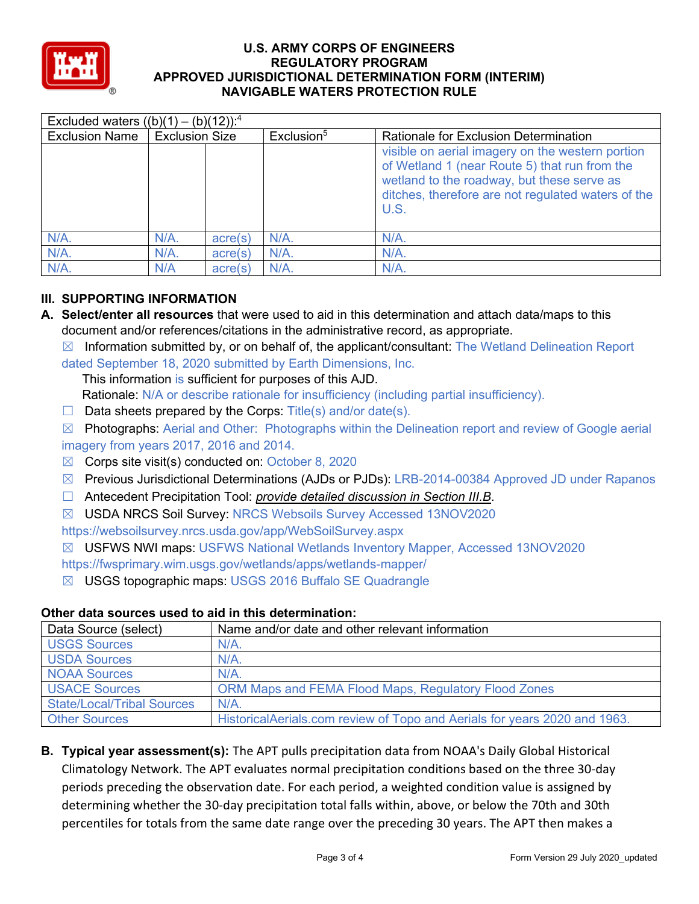

| Excluded waters $((b)(1) - (b)(12))$ : <sup>4</sup> |                       |         |                        |                                                                                                                                                                                                               |  |  |
|-----------------------------------------------------|-----------------------|---------|------------------------|---------------------------------------------------------------------------------------------------------------------------------------------------------------------------------------------------------------|--|--|
| <b>Exclusion Name</b>                               | <b>Exclusion Size</b> |         | Exclusion <sup>5</sup> | <b>Rationale for Exclusion Determination</b>                                                                                                                                                                  |  |  |
|                                                     |                       |         |                        | visible on aerial imagery on the western portion<br>of Wetland 1 (near Route 5) that run from the<br>wetland to the roadway, but these serve as<br>ditches, therefore are not regulated waters of the<br>U.S. |  |  |
| $N/A$ .                                             | $N/A$ .               | acre(s) | $N/A$ .                | $N/A$ .                                                                                                                                                                                                       |  |  |
| N/A.                                                | $N/A$ .               | acre(s) | $N/A$ .                | $N/A$ .                                                                                                                                                                                                       |  |  |
| $N/A$ .                                             | N/A                   | acre(s) | $N/A$ .                | $N/A$ .                                                                                                                                                                                                       |  |  |

# **III. SUPPORTING INFORMATION**

- **A. Select/enter all resources** that were used to aid in this determination and attach data/maps to this document and/or references/citations in the administrative record, as appropriate.
	- $\boxtimes$  Information submitted by, or on behalf of, the applicant/consultant: The Wetland Delineation Report dated September 18, 2020 submitted by Earth Dimensions, Inc.

This information is sufficient for purposes of this AJD.

- Rationale: N/A or describe rationale for insufficiency (including partial insufficiency).
- $\Box$  Data sheets prepared by the Corps: Title(s) and/or date(s).
- $\boxtimes$  Photographs: Aerial and Other: Photographs within the Delineation report and review of Google aerial imagery from years 2017, 2016 and 2014.
- $\boxtimes$  Corps site visit(s) conducted on: October 8, 2020
- ☒ Previous Jurisdictional Determinations (AJDs or PJDs): LRB-2014-00384 Approved JD under Rapanos
- ☐ Antecedent Precipitation Tool: *provide detailed discussion in Section III.B*.
- ☒ USDA NRCS Soil Survey: NRCS Websoils Survey Accessed 13NOV2020

https://websoilsurvey.nrcs.usda.gov/app/WebSoilSurvey.aspx

☒ USFWS NWI maps: USFWS National Wetlands Inventory Mapper, Accessed 13NOV2020

https://fwsprimary.wim.usgs.gov/wetlands/apps/wetlands-mapper/

☒ USGS topographic maps: USGS 2016 Buffalo SE Quadrangle

| Data Source (select)              | Name and/or date and other relevant information                           |
|-----------------------------------|---------------------------------------------------------------------------|
| <b>USGS Sources</b>               | $N/A$ .                                                                   |
| USDA Sources                      | $N/A$ .                                                                   |
| <b>NOAA Sources</b>               | $N/A$ .                                                                   |
| <b>USACE Sources</b>              | ORM Maps and FEMA Flood Maps, Regulatory Flood Zones                      |
| <b>State/Local/Tribal Sources</b> | $N/A$ .                                                                   |
| <b>Other Sources</b>              | HistoricalAerials.com review of Topo and Aerials for years 2020 and 1963. |

## **Other data sources used to aid in this determination:**

**B. Typical year assessment(s):** The APT pulls precipitation data from NOAA's Daily Global Historical Climatology Network. The APT evaluates normal precipitation conditions based on the three 30-day periods preceding the observation date. For each period, a weighted condition value is assigned by determining whether the 30-day precipitation total falls within, above, or below the 70th and 30th percentiles for totals from the same date range over the preceding 30 years. The APT then makes a